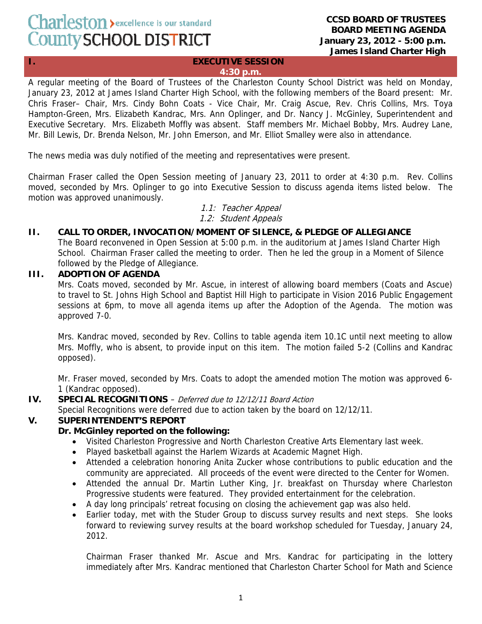# Charleston > excellence is our standard County SCHOOL DISTRICT

#### **CCSD BOARD OF TRUSTEES BOARD MEETING AGENDA January 23, 2012 - 5:00 p.m. James Island Charter High**

#### **I. EXECUTIVE SESSION 4:30 p.m.**

A regular meeting of the Board of Trustees of the Charleston County School District was held on Monday, January 23, 2012 at James Island Charter High School, with the following members of the Board present: Mr. Chris Fraser– Chair, Mrs. Cindy Bohn Coats - Vice Chair, Mr. Craig Ascue, Rev. Chris Collins, Mrs. Toya Hampton-Green, Mrs. Elizabeth Kandrac, Mrs. Ann Oplinger, and Dr. Nancy J. McGinley, Superintendent and Executive Secretary. Mrs. Elizabeth Moffly was absent. Staff members Mr. Michael Bobby, Mrs. Audrey Lane, Mr. Bill Lewis, Dr. Brenda Nelson, Mr. John Emerson, and Mr. Elliot Smalley were also in attendance.

The news media was duly notified of the meeting and representatives were present.

Chairman Fraser called the Open Session meeting of January 23, 2011 to order at 4:30 p.m. Rev. Collins moved, seconded by Mrs. Oplinger to go into Executive Session to discuss agenda items listed below. The motion was approved unanimously.

### 1.1: Teacher Appeal 1.2: Student Appeals

# **II. CALL TO ORDER, INVOCATION/MOMENT OF SILENCE, & PLEDGE OF ALLEGIANCE**

The Board reconvened in Open Session at 5:00 p.m. in the auditorium at James Island Charter High School. Chairman Fraser called the meeting to order. Then he led the group in a Moment of Silence followed by the Pledge of Allegiance.

# **III. ADOPTION OF AGENDA**

Mrs. Coats moved, seconded by Mr. Ascue, in interest of allowing board members (Coats and Ascue) to travel to St. Johns High School and Baptist Hill High to participate in Vision 2016 Public Engagement sessions at 6pm, to move all agenda items up after the Adoption of the Agenda. The motion was approved 7-0.

Mrs. Kandrac moved, seconded by Rev. Collins to table agenda item 10.1C until next meeting to allow Mrs. Moffly, who is absent, to provide input on this item. The motion failed 5-2 (Collins and Kandrac opposed).

Mr. Fraser moved, seconded by Mrs. Coats to adopt the amended motion The motion was approved 6- 1 (Kandrac opposed).

# **IV. SPECIAL RECOGNITIONS** – Deferred due to 12/12/11 Board Action

Special Recognitions were deferred due to action taken by the board on 12/12/11.

# **V. SUPERINTENDENT'S REPORT**

# **Dr. McGinley reported on the following:**

- Visited Charleston Progressive and North Charleston Creative Arts Elementary last week.
- Played basketball against the Harlem Wizards at Academic Magnet High.
- Attended a celebration honoring Anita Zucker whose contributions to public education and the community are appreciated. All proceeds of the event were directed to the Center for Women.
- Attended the annual Dr. Martin Luther King, Jr. breakfast on Thursday where Charleston Progressive students were featured. They provided entertainment for the celebration.
- A day long principals' retreat focusing on closing the achievement gap was also held.
- Earlier today, met with the Studer Group to discuss survey results and next steps. She looks forward to reviewing survey results at the board workshop scheduled for Tuesday, January 24, 2012.

Chairman Fraser thanked Mr. Ascue and Mrs. Kandrac for participating in the lottery immediately after Mrs. Kandrac mentioned that Charleston Charter School for Math and Science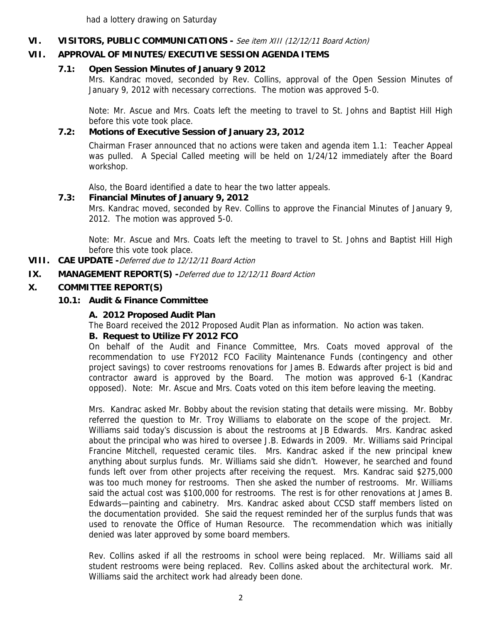had a lottery drawing on Saturday

## **VI. VISITORS, PUBLIC COMMUNICATIONS -** See item XIII (12/12/11 Board Action)

# **VII. APPROVAL OF MINUTES/EXECUTIVE SESSION AGENDA ITEMS**

### **7.1: Open Session Minutes of January 9 2012**

Mrs. Kandrac moved, seconded by Rev. Collins, approval of the Open Session Minutes of January 9, 2012 with necessary corrections. The motion was approved 5-0.

Note: Mr. Ascue and Mrs. Coats left the meeting to travel to St. Johns and Baptist Hill High before this vote took place.

## **7.2: Motions of Executive Session of January 23, 2012**

 Chairman Fraser announced that no actions were taken and agenda item 1.1: Teacher Appeal was pulled. A Special Called meeting will be held on 1/24/12 immediately after the Board workshop.

Also, the Board identified a date to hear the two latter appeals.

### **7.3: Financial Minutes of January 9, 2012**

Mrs. Kandrac moved, seconded by Rev. Collins to approve the Financial Minutes of January 9, 2012. The motion was approved 5-0.

Note: Mr. Ascue and Mrs. Coats left the meeting to travel to St. Johns and Baptist Hill High before this vote took place.

**VIII. CAE UPDATE -**Deferred due to 12/12/11 Board Action

**IX. MANAGEMENT REPORT(S) -**Deferred due to 12/12/11 Board Action

### **X. COMMITTEE REPORT(S)**

### **10.1: Audit & Finance Committee**

#### **A. 2012 Proposed Audit Plan**

The Board received the 2012 Proposed Audit Plan as information. No action was taken.

#### **B. Request to Utilize FY 2012 FCO**

On behalf of the Audit and Finance Committee, Mrs. Coats moved approval of the recommendation to use FY2012 FCO Facility Maintenance Funds (contingency and other project savings) to cover restrooms renovations for James B. Edwards after project is bid and contractor award is approved by the Board. The motion was approved 6-1 (Kandrac opposed). Note: Mr. Ascue and Mrs. Coats voted on this item before leaving the meeting.

Mrs. Kandrac asked Mr. Bobby about the revision stating that details were missing. Mr. Bobby referred the question to Mr. Troy Williams to elaborate on the scope of the project. Mr. Williams said today's discussion is about the restrooms at JB Edwards. Mrs. Kandrac asked about the principal who was hired to oversee J.B. Edwards in 2009. Mr. Williams said Principal Francine Mitchell, requested ceramic tiles. Mrs. Kandrac asked if the new principal knew anything about surplus funds. Mr. Williams said she didn't. However, he searched and found funds left over from other projects after receiving the request. Mrs. Kandrac said \$275,000 was too much money for restrooms. Then she asked the number of restrooms. Mr. Williams said the actual cost was \$100,000 for restrooms. The rest is for other renovations at James B. Edwards—painting and cabinetry. Mrs. Kandrac asked about CCSD staff members listed on the documentation provided. She said the request reminded her of the surplus funds that was used to renovate the Office of Human Resource. The recommendation which was initially denied was later approved by some board members.

Rev. Collins asked if all the restrooms in school were being replaced. Mr. Williams said all student restrooms were being replaced. Rev. Collins asked about the architectural work. Mr. Williams said the architect work had already been done.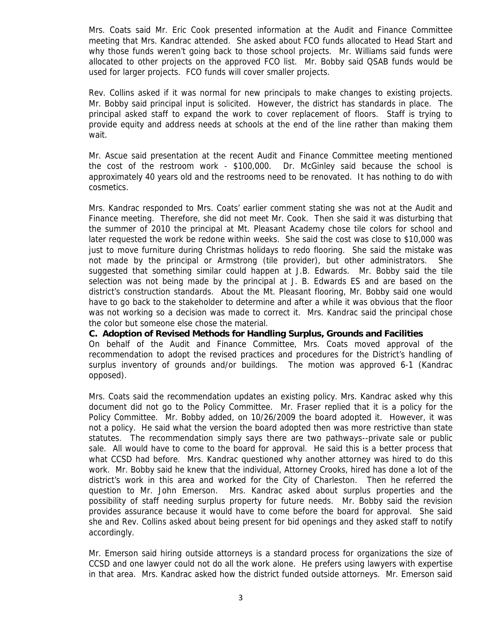Mrs. Coats said Mr. Eric Cook presented information at the Audit and Finance Committee meeting that Mrs. Kandrac attended. She asked about FCO funds allocated to Head Start and why those funds weren't going back to those school projects. Mr. Williams said funds were allocated to other projects on the approved FCO list. Mr. Bobby said QSAB funds would be used for larger projects. FCO funds will cover smaller projects.

Rev. Collins asked if it was normal for new principals to make changes to existing projects. Mr. Bobby said principal input is solicited. However, the district has standards in place. The principal asked staff to expand the work to cover replacement of floors. Staff is trying to provide equity and address needs at schools at the end of the line rather than making them wait.

Mr. Ascue said presentation at the recent Audit and Finance Committee meeting mentioned the cost of the restroom work - \$100,000. Dr. McGinley said because the school is approximately 40 years old and the restrooms need to be renovated. It has nothing to do with cosmetics.

Mrs. Kandrac responded to Mrs. Coats' earlier comment stating she was not at the Audit and Finance meeting. Therefore, she did not meet Mr. Cook. Then she said it was disturbing that the summer of 2010 the principal at Mt. Pleasant Academy chose tile colors for school and later requested the work be redone within weeks. She said the cost was close to \$10,000 was just to move furniture during Christmas holidays to redo flooring. She said the mistake was not made by the principal or Armstrong (tile provider), but other administrators. She suggested that something similar could happen at J.B. Edwards. Mr. Bobby said the tile selection was not being made by the principal at J. B. Edwards ES and are based on the district's construction standards. About the Mt. Pleasant flooring, Mr. Bobby said one would have to go back to the stakeholder to determine and after a while it was obvious that the floor was not working so a decision was made to correct it. Mrs. Kandrac said the principal chose the color but someone else chose the material.

**C. Adoption of Revised Methods for Handling Surplus, Grounds and Facilities** 

On behalf of the Audit and Finance Committee, Mrs. Coats moved approval of the recommendation to adopt the revised practices and procedures for the District's handling of surplus inventory of grounds and/or buildings. The motion was approved 6-1 (Kandrac opposed).

Mrs. Coats said the recommendation updates an existing policy. Mrs. Kandrac asked why this document did not go to the Policy Committee. Mr. Fraser replied that it is a policy for the Policy Committee. Mr. Bobby added, on 10/26/2009 the board adopted it. However, it was not a policy. He said what the version the board adopted then was more restrictive than state statutes. The recommendation simply says there are two pathways--private sale or public sale. All would have to come to the board for approval. He said this is a better process that what CCSD had before. Mrs. Kandrac questioned why another attorney was hired to do this work. Mr. Bobby said he knew that the individual, Attorney Crooks, hired has done a lot of the district's work in this area and worked for the City of Charleston. Then he referred the question to Mr. John Emerson. Mrs. Kandrac asked about surplus properties and the possibility of staff needing surplus property for future needs. Mr. Bobby said the revision provides assurance because it would have to come before the board for approval. She said she and Rev. Collins asked about being present for bid openings and they asked staff to notify accordingly.

Mr. Emerson said hiring outside attorneys is a standard process for organizations the size of CCSD and one lawyer could not do all the work alone. He prefers using lawyers with expertise in that area. Mrs. Kandrac asked how the district funded outside attorneys. Mr. Emerson said